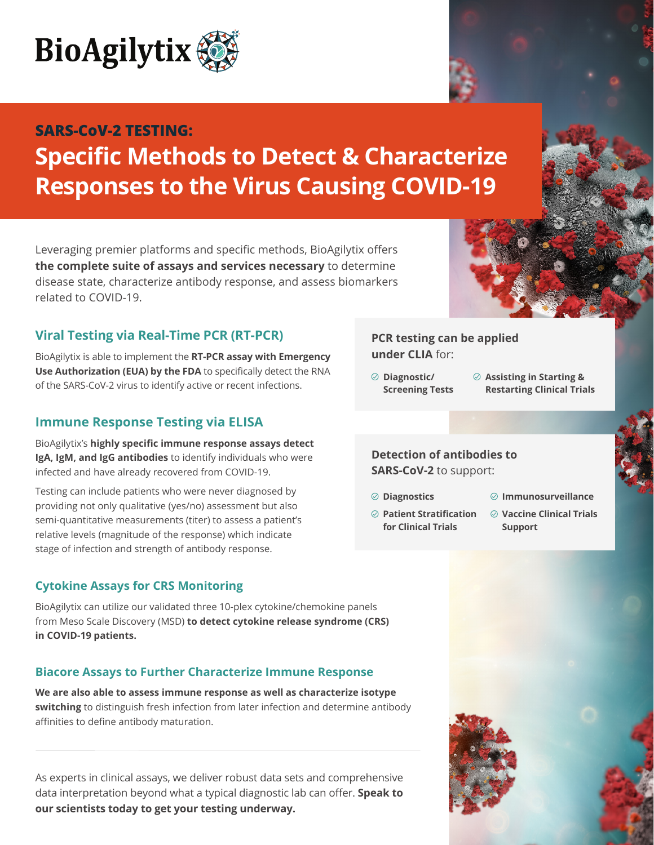

## **Specific Methods to Detect & Characterize Responses to the Virus Causing COVID-19 SARS-CoV-2 TESTING:**

Leveraging premier platforms and specific methods, BioAgilytix offers **the complete suite of assays and services necessary** to determine disease state, characterize antibody response, and assess biomarkers related to COVID-19.

### **Viral Testing via Real-Time PCR (RT-PCR)**

BioAgilytix is able to implement the **RT-PCR assay with Emergency Use Authorization (EUA) by the FDA** to specifically detect the RNA of the SARS-CoV-2 virus to identify active or recent infections.

### **Immune Response Testing via ELISA**

BioAgilytix's **highly specific immune response assays detect IgA, IgM, and IgG antibodies** to identify individuals who were infected and have already recovered from COVID-19.

Testing can include patients who were never diagnosed by providing not only qualitative (yes/no) assessment but also semi-quantitative measurements (titer) to assess a patient's relative levels (magnitude of the response) which indicate stage of infection and strength of antibody response.

### **Cytokine Assays for CRS Monitoring**

BioAgilytix can utilize our validated three 10-plex cytokine/chemokine panels from Meso Scale Discovery (MSD) **to detect cytokine release syndrome (CRS) in COVID-19 patients.**

### **Biacore Assays to Further Characterize Immune Response**

**We are also able to assess immune response as well as characterize isotype switching** to distinguish fresh infection from later infection and determine antibody affinities to define antibody maturation.

As experts in clinical assays, we deliver robust data sets and comprehensive data interpretation beyond what a typical diagnostic lab can offer. **Speak to our scientists today to get your testing underway.**

**PCR testing can be applied under CLIA** for:

- **Diagnostic/ Screening Tests**
- **Assisting in Starting & Restarting Clinical Trials**

#### **Detection of antibodies to SARS-CoV-2** to support:

- **Diagnostics**
- **Patient Stratification for Clinical Trials**
- **Immunosurveillance**
- **Vaccine Clinical Trials Support**